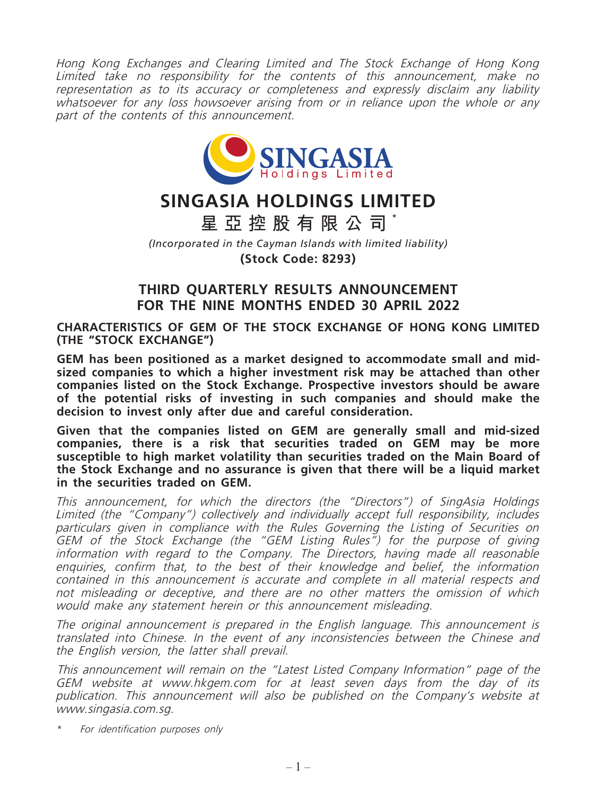Hong Kong Exchanges and Clearing Limited and The Stock Exchange of Hong Kong Limited take no responsibility for the contents of this announcement, make no representation as to its accuracy or completeness and expressly disclaim any liability whatsoever for any loss howsoever arising from or in reliance upon the whole or any part of the contents of this announcement.



# **SINGASIA HOLDINGS LIMITED**

**星亞控股有限公司 \***

*(Incorporated in the Cayman Islands with limited liability)*

**(Stock Code: 8293)**

## **THIRD QUARTERLY RESULTS ANNOUNCEMENT FOR THE NINE MONTHS ENDED 30 APRIL 2022**

**CHARACTERISTICS OF GEM OF THE STOCK EXCHANGE OF HONG KONG LIMITED (THE "STOCK EXCHANGE")**

**GEM has been positioned as a market designed to accommodate small and midsized companies to which a higher investment risk may be attached than other companies listed on the Stock Exchange. Prospective investors should be aware of the potential risks of investing in such companies and should make the decision to invest only after due and careful consideration.**

**Given that the companies listed on GEM are generally small and mid-sized companies, there is a risk that securities traded on GEM may be more susceptible to high market volatility than securities traded on the Main Board of the Stock Exchange and no assurance is given that there will be a liquid market in the securities traded on GEM.**

This announcement, for which the directors (the "Directors") of SingAsia Holdings Limited (the "Company") collectively and individually accept full responsibility, includes particulars given in compliance with the Rules Governing the Listing of Securities on GEM of the Stock Exchange (the "GEM Listing Rules") for the purpose of giving information with regard to the Company. The Directors, having made all reasonable enquiries, confirm that, to the best of their knowledge and belief, the information contained in this announcement is accurate and complete in all material respects and not misleading or deceptive, and there are no other matters the omission of which would make any statement herein or this announcement misleading.

The original announcement is prepared in the English language. This announcement is translated into Chinese. In the event of any inconsistencies between the Chinese and the English version, the latter shall prevail.

This announcement will remain on the "Latest Listed Company Information" page of the GEM website at www.hkgem.com for at least seven days from the day of its publication. This announcement will also be published on the Company's website at www.singasia.com.sg.

\* For identification purposes only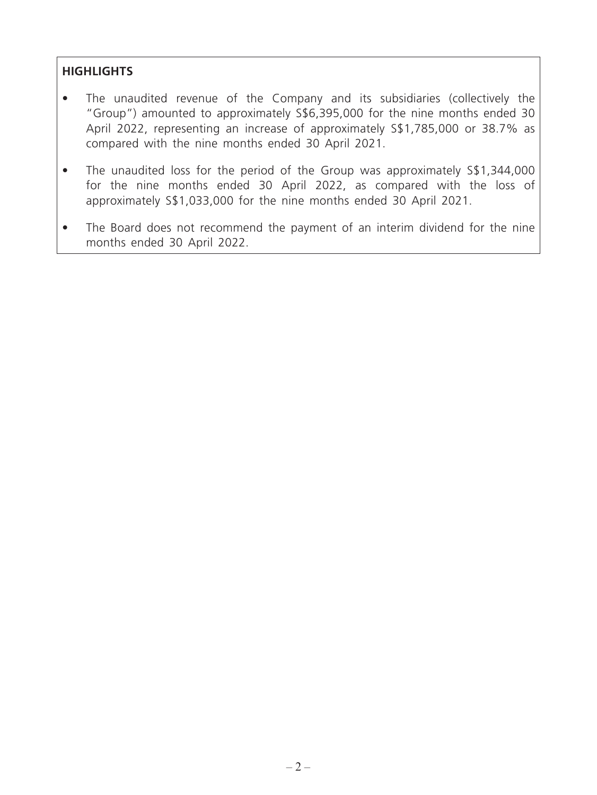## **HIGHLIGHTS**

- The unaudited revenue of the Company and its subsidiaries (collectively the "Group") amounted to approximately S\$6,395,000 for the nine months ended 30 April 2022, representing an increase of approximately S\$1,785,000 or 38.7% as compared with the nine months ended 30 April 2021.
- The unaudited loss for the period of the Group was approximately S\$1,344,000 for the nine months ended 30 April 2022, as compared with the loss of approximately S\$1,033,000 for the nine months ended 30 April 2021.
- The Board does not recommend the payment of an interim dividend for the nine months ended 30 April 2022.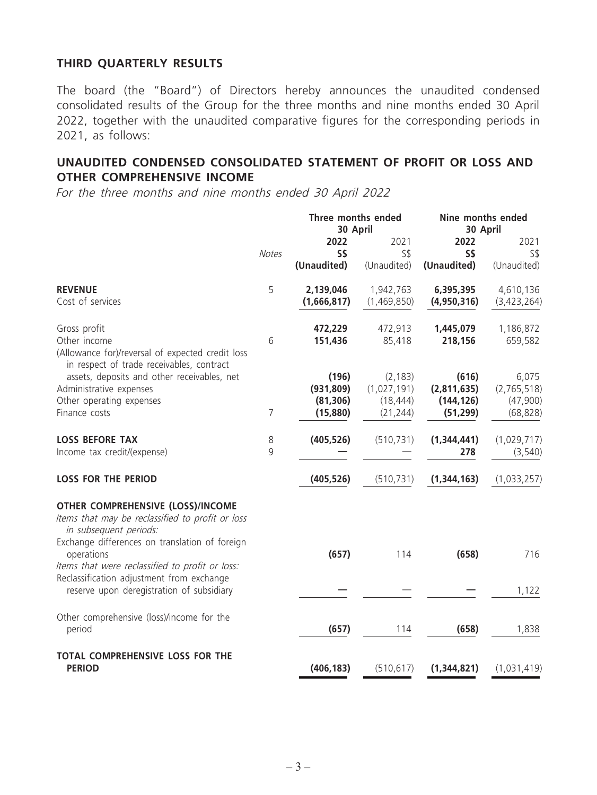## **THIRD QUARTERLY RESULTS**

The board (the "Board") of Directors hereby announces the unaudited condensed consolidated results of the Group for the three months and nine months ended 30 April 2022, together with the unaudited comparative figures for the corresponding periods in 2021, as follows:

## **UNAUDITED CONDENSED CONSOLIDATED STATEMENT OF PROFIT OR LOSS AND OTHER COMPREHENSIVE INCOME**

For the three months and nine months ended 30 April 2022

|                                                                                                                                                              |              | Three months ended<br>30 April               |                                                   | Nine months ended<br>30 April                   |                                               |
|--------------------------------------------------------------------------------------------------------------------------------------------------------------|--------------|----------------------------------------------|---------------------------------------------------|-------------------------------------------------|-----------------------------------------------|
|                                                                                                                                                              | <b>Notes</b> | 2022<br>S\$<br>(Unaudited)                   | 2021<br>$S\$<br>(Unaudited)                       | 2022<br>S\$<br>(Unaudited)                      | 2021<br>$S\$<br>(Unaudited)                   |
| <b>REVENUE</b><br>Cost of services                                                                                                                           | 5            | 2,139,046<br>(1,666,817)                     | 1,942,763<br>(1,469,850)                          | 6,395,395<br>(4,950,316)                        | 4,610,136<br>(3,423,264)                      |
| Gross profit<br>Other income<br>(Allowance for)/reversal of expected credit loss<br>in respect of trade receivables, contract                                | 6            | 472,229<br>151,436                           | 472,913<br>85,418                                 | 1,445,079<br>218,156                            | 1,186,872<br>659,582                          |
| assets, deposits and other receivables, net<br>Administrative expenses<br>Other operating expenses<br>Finance costs                                          | 7            | (196)<br>(931, 809)<br>(81, 306)<br>(15,880) | (2, 183)<br>(1,027,191)<br>(18, 444)<br>(21, 244) | (616)<br>(2,811,635)<br>(144, 126)<br>(51, 299) | 6,075<br>(2,765,518)<br>(47,900)<br>(68, 828) |
| <b>LOSS BEFORE TAX</b><br>Income tax credit/(expense)                                                                                                        | 8<br>9       | (405, 526)                                   | (510, 731)                                        | (1,344,441)<br>278                              | (1,029,717)<br>(3, 540)                       |
| <b>LOSS FOR THE PERIOD</b>                                                                                                                                   |              | (405, 526)                                   | (510, 731)                                        | (1,344,163)                                     | (1,033,257)                                   |
| <b>OTHER COMPREHENSIVE (LOSS)/INCOME</b><br>Items that may be reclassified to profit or loss<br>in subsequent periods:                                       |              |                                              |                                                   |                                                 |                                               |
| Exchange differences on translation of foreign<br>operations<br>Items that were reclassified to profit or loss:<br>Reclassification adjustment from exchange |              | (657)                                        | 114                                               | (658)                                           | 716                                           |
| reserve upon deregistration of subsidiary                                                                                                                    |              |                                              |                                                   |                                                 | 1,122                                         |
| Other comprehensive (loss)/income for the<br>period                                                                                                          |              | (657)                                        | 114                                               | (658)                                           | 1,838                                         |
| TOTAL COMPREHENSIVE LOSS FOR THE<br><b>PERIOD</b>                                                                                                            |              | (406, 183)                                   | (510, 617)                                        | (1,344,821)                                     | (1,031,419)                                   |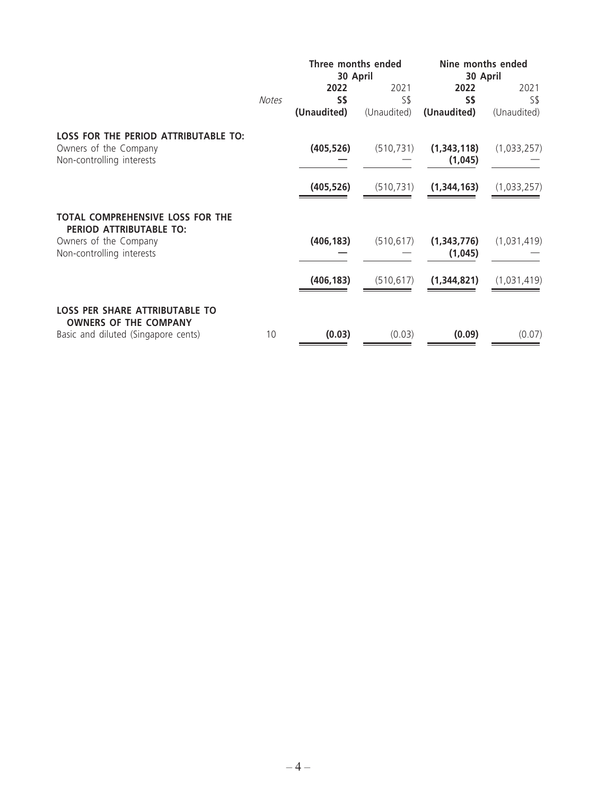|                                                                       |              | Three months ended<br>30 April |             | Nine months ended<br>30 April |             |
|-----------------------------------------------------------------------|--------------|--------------------------------|-------------|-------------------------------|-------------|
|                                                                       |              | 2022                           | 2021        | 2022                          | 2021        |
|                                                                       | <b>Notes</b> | S\$                            | S\$         | S\$                           | S\$         |
|                                                                       |              | (Unaudited)                    | (Unaudited) | (Unaudited)                   | (Unaudited) |
| <b>LOSS FOR THE PERIOD ATTRIBUTABLE TO:</b><br>Owners of the Company  |              | (405, 526)                     | (510, 731)  | (1,343,118)                   | (1,033,257) |
| Non-controlling interests                                             |              |                                |             | (1,045)                       |             |
|                                                                       |              | (405, 526)                     | (510, 731)  | (1,344,163)                   | (1,033,257) |
| TOTAL COMPREHENSIVE LOSS FOR THE<br>PERIOD ATTRIBUTABLE TO:           |              |                                |             |                               |             |
| Owners of the Company<br>Non-controlling interests                    |              | (406, 183)                     | (510, 617)  | (1,343,776)<br>(1,045)        | (1,031,419) |
|                                                                       |              | (406, 183)                     | (510, 617)  | (1,344,821)                   | (1,031,419) |
| <b>LOSS PER SHARE ATTRIBUTABLE TO</b><br><b>OWNERS OF THE COMPANY</b> |              |                                |             |                               |             |
| Basic and diluted (Singapore cents)                                   | 10           | (0.03)                         | (0.03)      | (0.09)                        | (0.07)      |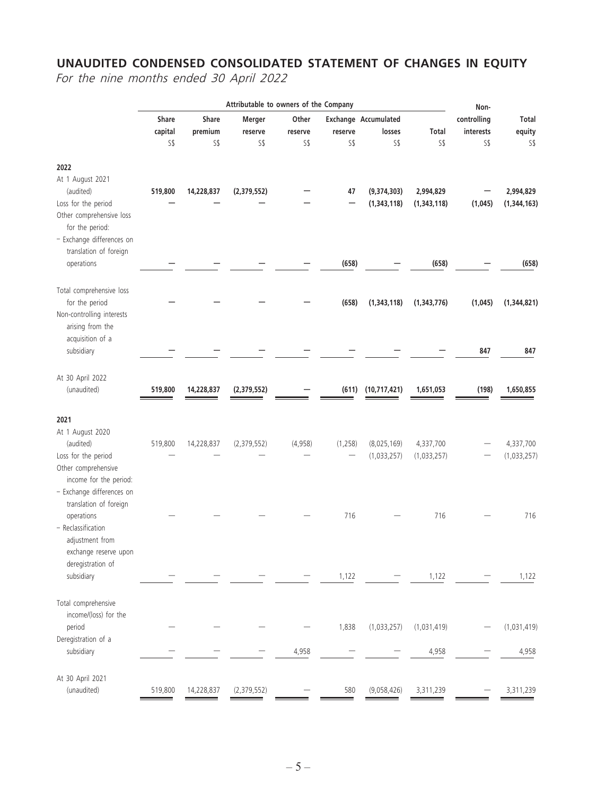## **UNAUDITED CONDENSED CONSOLIDATED STATEMENT OF CHANGES IN EQUITY**

For the nine months ended 30 April 2022

|                                                                                             | Attributable to owners of the Company |                  |                   | Non-             |          |                                       |                          |                          |                            |
|---------------------------------------------------------------------------------------------|---------------------------------------|------------------|-------------------|------------------|----------|---------------------------------------|--------------------------|--------------------------|----------------------------|
|                                                                                             | Share<br>capital                      | Share<br>premium | Merger<br>reserve | Other<br>reserve | reserve  | <b>Exchange Accumulated</b><br>losses | Total                    | controlling<br>interests | Total<br>equity            |
|                                                                                             | S\$                                   | S\$              | S\$               | S\$              | S\$      | S\$                                   | S <sub>5</sub>           | S\$                      | S\$                        |
| 2022<br>At 1 August 2021<br>(audited)<br>Loss for the period                                | 519,800                               | 14,228,837       | (2,379,552)       |                  | 47       | (9,374,303)<br>(1,343,118)            | 2,994,829<br>(1,343,118) | (1,045)                  | 2,994,829<br>(1, 344, 163) |
| Other comprehensive loss<br>for the period:<br>- Exchange differences on                    |                                       |                  |                   |                  |          |                                       |                          |                          |                            |
| translation of foreign<br>operations                                                        |                                       |                  |                   |                  | (658)    |                                       | (658)                    |                          | (658)                      |
| Total comprehensive loss<br>for the period<br>Non-controlling interests<br>arising from the |                                       |                  |                   |                  | (658)    | (1,343,118)                           | (1,343,776)              | (1,045)                  | (1,344,821)                |
| acquisition of a<br>subsidiary                                                              |                                       |                  |                   |                  |          |                                       |                          | 847                      | 847                        |
| At 30 April 2022<br>(unaudited)                                                             | 519,800                               | 14,228,837       | (2,379,552)       |                  | (611)    | (10,717,421)                          | 1,651,053                | (198)                    | 1,650,855                  |
| 2021                                                                                        |                                       |                  |                   |                  |          |                                       |                          |                          |                            |
| At 1 August 2020<br>(audited)                                                               | 519,800                               | 14,228,837       | (2,379,552)       | (4,958)          | (1, 258) | (8,025,169)                           | 4,337,700                |                          | 4,337,700                  |
| Loss for the period<br>Other comprehensive<br>income for the period:                        |                                       |                  |                   |                  |          | (1,033,257)                           | (1,033,257)              |                          | (1,033,257)                |
| - Exchange differences on<br>translation of foreign<br>operations                           |                                       |                  |                   |                  | 716      |                                       | 716                      |                          | 716                        |
| - Reclassification<br>adjustment from<br>exchange reserve upon<br>deregistration of         |                                       |                  |                   |                  |          |                                       |                          |                          |                            |
| subsidiary                                                                                  |                                       |                  |                   |                  | 1,122    |                                       | 1,122                    |                          | 1,122                      |
| Total comprehensive<br>income/(loss) for the                                                |                                       |                  |                   |                  |          |                                       |                          |                          |                            |
| period<br>Deregistration of a                                                               |                                       |                  |                   |                  | 1,838    | (1,033,257)                           | (1,031,419)              |                          | (1,031,419)                |
| subsidiary                                                                                  |                                       |                  |                   | 4,958            |          |                                       | 4,958                    |                          | 4,958                      |
| At 30 April 2021<br>(unaudited)                                                             | 519,800                               | 14,228,837       | (2,379,552)       |                  | 580      | (9,058,426)                           | 3,311,239                |                          | 3,311,239                  |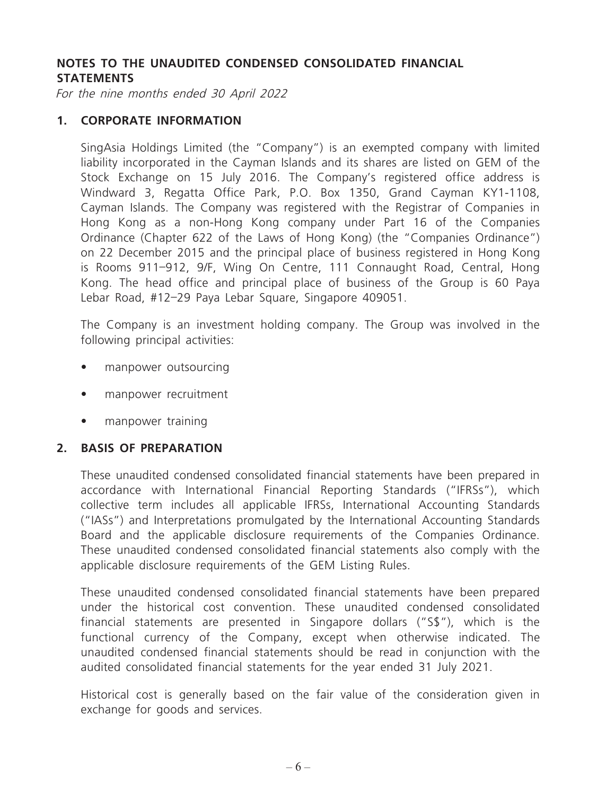## **NOTES TO THE UNAUDITED CONDENSED CONSOLIDATED FINANCIAL STATEMENTS**

For the nine months ended 30 April 2022

#### **1. CORPORATE INFORMATION**

SingAsia Holdings Limited (the "Company") is an exempted company with limited liability incorporated in the Cayman Islands and its shares are listed on GEM of the Stock Exchange on 15 July 2016. The Company's registered office address is Windward 3, Regatta Office Park, P.O. Box 1350, Grand Cayman KY1-1108, Cayman Islands. The Company was registered with the Registrar of Companies in Hong Kong as a non-Hong Kong company under Part 16 of the Companies Ordinance (Chapter 622 of the Laws of Hong Kong) (the "Companies Ordinance") on 22 December 2015 and the principal place of business registered in Hong Kong is Rooms 911–912, 9/F, Wing On Centre, 111 Connaught Road, Central, Hong Kong. The head office and principal place of business of the Group is 60 Paya Lebar Road, #12–29 Paya Lebar Square, Singapore 409051.

The Company is an investment holding company. The Group was involved in the following principal activities:

- manpower outsourcing
- manpower recruitment
- manpower training

#### **2. BASIS OF PREPARATION**

These unaudited condensed consolidated financial statements have been prepared in accordance with International Financial Reporting Standards ("IFRSs"), which collective term includes all applicable IFRSs, International Accounting Standards ("IASs") and Interpretations promulgated by the International Accounting Standards Board and the applicable disclosure requirements of the Companies Ordinance. These unaudited condensed consolidated financial statements also comply with the applicable disclosure requirements of the GEM Listing Rules.

These unaudited condensed consolidated financial statements have been prepared under the historical cost convention. These unaudited condensed consolidated financial statements are presented in Singapore dollars ("S\$"), which is the functional currency of the Company, except when otherwise indicated. The unaudited condensed financial statements should be read in conjunction with the audited consolidated financial statements for the year ended 31 July 2021.

Historical cost is generally based on the fair value of the consideration given in exchange for goods and services.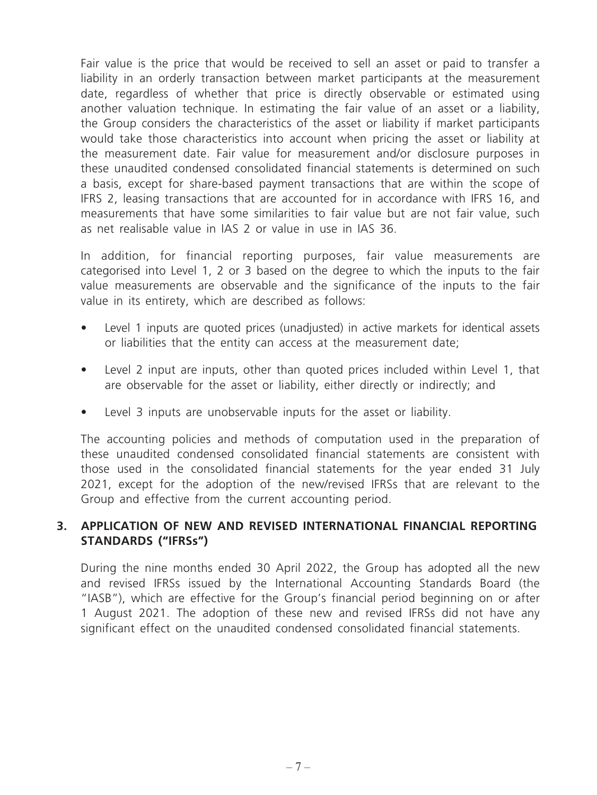Fair value is the price that would be received to sell an asset or paid to transfer a liability in an orderly transaction between market participants at the measurement date, regardless of whether that price is directly observable or estimated using another valuation technique. In estimating the fair value of an asset or a liability, the Group considers the characteristics of the asset or liability if market participants would take those characteristics into account when pricing the asset or liability at the measurement date. Fair value for measurement and/or disclosure purposes in these unaudited condensed consolidated financial statements is determined on such a basis, except for share-based payment transactions that are within the scope of IFRS 2, leasing transactions that are accounted for in accordance with IFRS 16, and measurements that have some similarities to fair value but are not fair value, such as net realisable value in IAS 2 or value in use in IAS 36.

In addition, for financial reporting purposes, fair value measurements are categorised into Level 1, 2 or 3 based on the degree to which the inputs to the fair value measurements are observable and the significance of the inputs to the fair value in its entirety, which are described as follows:

- Level 1 inputs are quoted prices (unadjusted) in active markets for identical assets or liabilities that the entity can access at the measurement date;
- Level 2 input are inputs, other than quoted prices included within Level 1, that are observable for the asset or liability, either directly or indirectly; and
- Level 3 inputs are unobservable inputs for the asset or liability.

The accounting policies and methods of computation used in the preparation of these unaudited condensed consolidated financial statements are consistent with those used in the consolidated financial statements for the year ended 31 July 2021, except for the adoption of the new/revised IFRSs that are relevant to the Group and effective from the current accounting period.

## **3. APPLICATION OF NEW AND REVISED INTERNATIONAL FINANCIAL REPORTING STANDARDS ("IFRSs")**

During the nine months ended 30 April 2022, the Group has adopted all the new and revised IFRSs issued by the International Accounting Standards Board (the "IASB"), which are effective for the Group's financial period beginning on or after 1 August 2021. The adoption of these new and revised IFRSs did not have any significant effect on the unaudited condensed consolidated financial statements.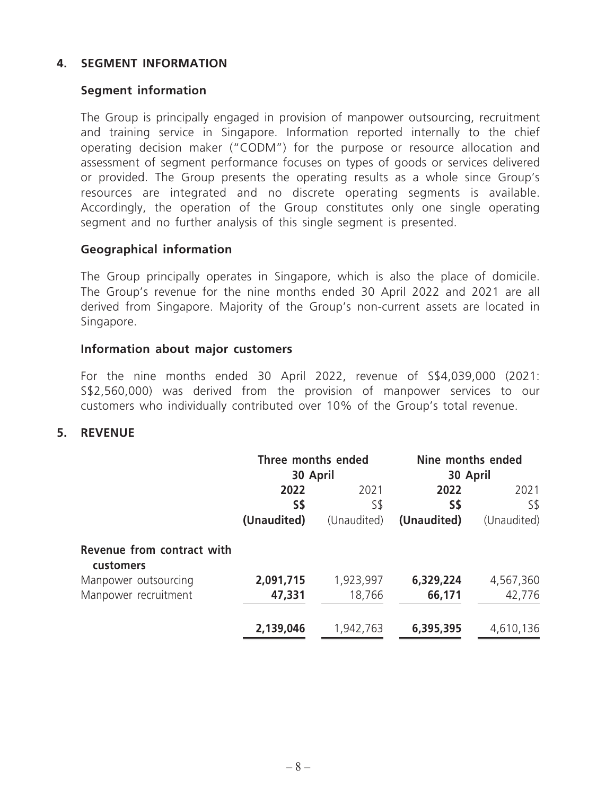## **4. SEGMENT INFORMATION**

### **Segment information**

The Group is principally engaged in provision of manpower outsourcing, recruitment and training service in Singapore. Information reported internally to the chief operating decision maker ("CODM") for the purpose or resource allocation and assessment of segment performance focuses on types of goods or services delivered or provided. The Group presents the operating results as a whole since Group's resources are integrated and no discrete operating segments is available. Accordingly, the operation of the Group constitutes only one single operating segment and no further analysis of this single segment is presented.

## **Geographical information**

The Group principally operates in Singapore, which is also the place of domicile. The Group's revenue for the nine months ended 30 April 2022 and 2021 are all derived from Singapore. Majority of the Group's non-current assets are located in Singapore.

#### **Information about major customers**

For the nine months ended 30 April 2022, revenue of S\$4,039,000 (2021: S\$2,560,000) was derived from the provision of manpower services to our customers who individually contributed over 10% of the Group's total revenue.

#### **5. REVENUE**

|                                         | Three months ended<br>30 April |             | Nine months ended<br>30 April |             |
|-----------------------------------------|--------------------------------|-------------|-------------------------------|-------------|
|                                         | 2022                           |             | 2022                          | 2021        |
|                                         | S\$                            | S\$         | S\$                           | S\$         |
|                                         | (Unaudited)                    | (Unaudited) | (Unaudited)                   | (Unaudited) |
| Revenue from contract with<br>customers |                                |             |                               |             |
| Manpower outsourcing                    | 2,091,715                      | 1,923,997   | 6,329,224                     | 4,567,360   |
| Manpower recruitment                    | 47,331                         | 18,766      | 66,171                        | 42,776      |
|                                         | 2,139,046                      | 1,942,763   | 6,395,395                     | 4,610,136   |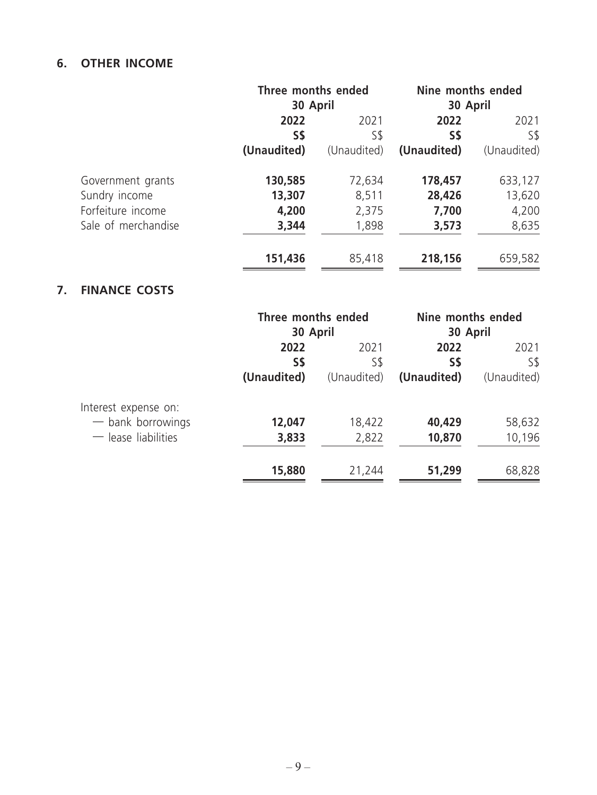## **6. OTHER INCOME**

|                     | Three months ended |             | Nine months ended |             |
|---------------------|--------------------|-------------|-------------------|-------------|
|                     | 30 April           |             | 30 April          |             |
|                     | 2022               | 2021        | 2022              | 2021        |
|                     | S\$                | S\$         | S\$               | S\$         |
|                     | (Unaudited)        | (Unaudited) | (Unaudited)       | (Unaudited) |
| Government grants   | 130,585            | 72,634      | 178,457           | 633,127     |
| Sundry income       | 13,307             | 8,511       | 28,426            | 13,620      |
| Forfeiture income   | 4,200              | 2,375       | 7,700             | 4,200       |
| Sale of merchandise | 3,344              | 1,898       | 3,573             | 8,635       |
|                     | 151,436            | 85,418      | 218,156           | 659,582     |

## **7. FINANCE COSTS**

|                       | Three months ended |             | Nine months ended |             |
|-----------------------|--------------------|-------------|-------------------|-------------|
|                       | 30 April           |             | 30 April          |             |
|                       | 2022               | 2021        | 2022              | 2021        |
|                       | S\$                | S\$         | S\$               | S\$         |
|                       | (Unaudited)        | (Unaudited) | (Unaudited)       | (Unaudited) |
| Interest expense on:  |                    |             |                   |             |
| $-$ bank borrowings   | 12,047             | 18,422      | 40,429            | 58,632      |
| $-$ lease liabilities | 3,833              | 2,822       | 10,870            | 10,196      |
|                       | 15,880             | 21,244      | 51,299            | 68,828      |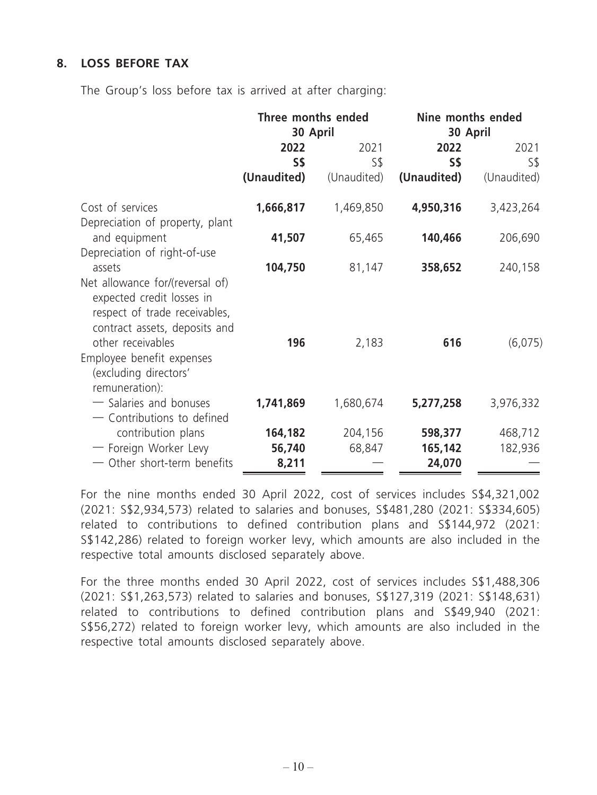## **8. LOSS BEFORE TAX**

The Group's loss before tax is arrived at after charging:

|                                                                                                                                           | Three months ended<br>30 April |                                   | Nine months ended<br>30 April |             |
|-------------------------------------------------------------------------------------------------------------------------------------------|--------------------------------|-----------------------------------|-------------------------------|-------------|
|                                                                                                                                           | 2022<br>S\$                    | 2021<br>2022<br>S\$<br><b>S\$</b> |                               | 2021<br>S\$ |
|                                                                                                                                           | (Unaudited)                    | (Unaudited)                       | (Unaudited)                   | (Unaudited) |
| Cost of services<br>Depreciation of property, plant                                                                                       | 1,666,817                      | 1,469,850                         | 4,950,316                     | 3,423,264   |
| and equipment                                                                                                                             | 41,507                         | 65,465                            | 140,466                       | 206,690     |
| Depreciation of right-of-use<br>assets<br>Net allowance for/(reversal of)<br>expected credit losses in                                    | 104,750                        | 81,147                            | 358,652                       | 240,158     |
| respect of trade receivables,<br>contract assets, deposits and<br>other receivables<br>Employee benefit expenses<br>(excluding directors' | 196                            | 2,183                             | 616                           | (6,075)     |
| remuneration):<br>- Salaries and bonuses<br>- Contributions to defined                                                                    | 1,741,869                      | 1,680,674                         | 5,277,258                     | 3,976,332   |
| contribution plans                                                                                                                        | 164,182                        | 204,156                           | 598,377                       | 468,712     |
| - Foreign Worker Levy<br>- Other short-term benefits                                                                                      | 56,740<br>8,211                | 68,847                            | 165,142<br>24,070             | 182,936     |

For the nine months ended 30 April 2022, cost of services includes S\$4,321,002 (2021: S\$2,934,573) related to salaries and bonuses, S\$481,280 (2021: S\$334,605) related to contributions to defined contribution plans and S\$144,972 (2021: S\$142,286) related to foreign worker levy, which amounts are also included in the respective total amounts disclosed separately above.

For the three months ended 30 April 2022, cost of services includes S\$1,488,306 (2021: S\$1,263,573) related to salaries and bonuses, S\$127,319 (2021: S\$148,631) related to contributions to defined contribution plans and S\$49,940 (2021: S\$56,272) related to foreign worker levy, which amounts are also included in the respective total amounts disclosed separately above.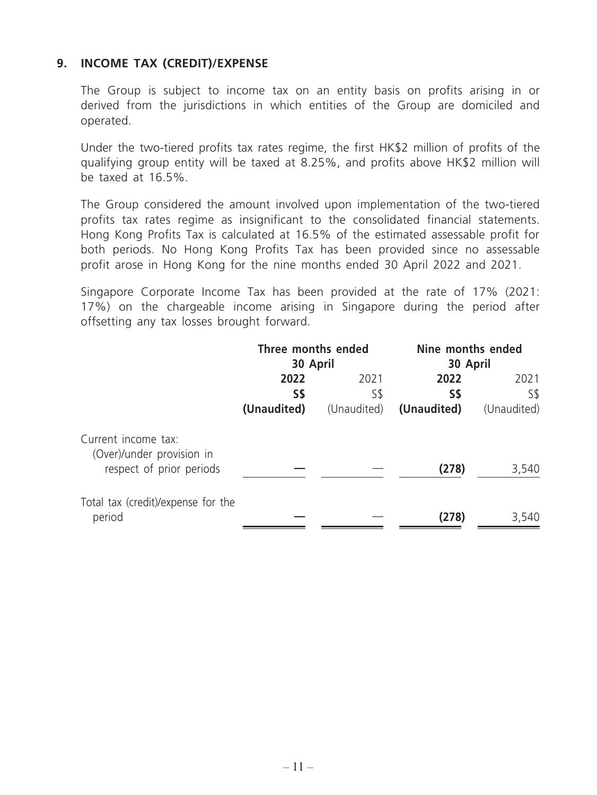## **9. INCOME TAX (CREDIT)/EXPENSE**

The Group is subject to income tax on an entity basis on profits arising in or derived from the jurisdictions in which entities of the Group are domiciled and operated.

Under the two-tiered profits tax rates regime, the first HK\$2 million of profits of the qualifying group entity will be taxed at 8.25%, and profits above HK\$2 million will be taxed at 16.5%.

The Group considered the amount involved upon implementation of the two-tiered profits tax rates regime as insignificant to the consolidated financial statements. Hong Kong Profits Tax is calculated at 16.5% of the estimated assessable profit for both periods. No Hong Kong Profits Tax has been provided since no assessable profit arose in Hong Kong for the nine months ended 30 April 2022 and 2021.

Singapore Corporate Income Tax has been provided at the rate of 17% (2021: 17%) on the chargeable income arising in Singapore during the period after offsetting any tax losses brought forward.

|                                                                              | Three months ended<br>30 April |                            | Nine months ended<br>30 April |                            |  |
|------------------------------------------------------------------------------|--------------------------------|----------------------------|-------------------------------|----------------------------|--|
|                                                                              | 2022<br>S\$<br>(Unaudited)     | 2021<br>S\$<br>(Unaudited) | 2022<br>S\$<br>(Unaudited)    | 2021<br>S\$<br>(Unaudited) |  |
| Current income tax:<br>(Over)/under provision in<br>respect of prior periods |                                |                            | (278)                         | 3,540                      |  |
| Total tax (credit)/expense for the<br>period                                 |                                |                            | (278)                         | 3,540                      |  |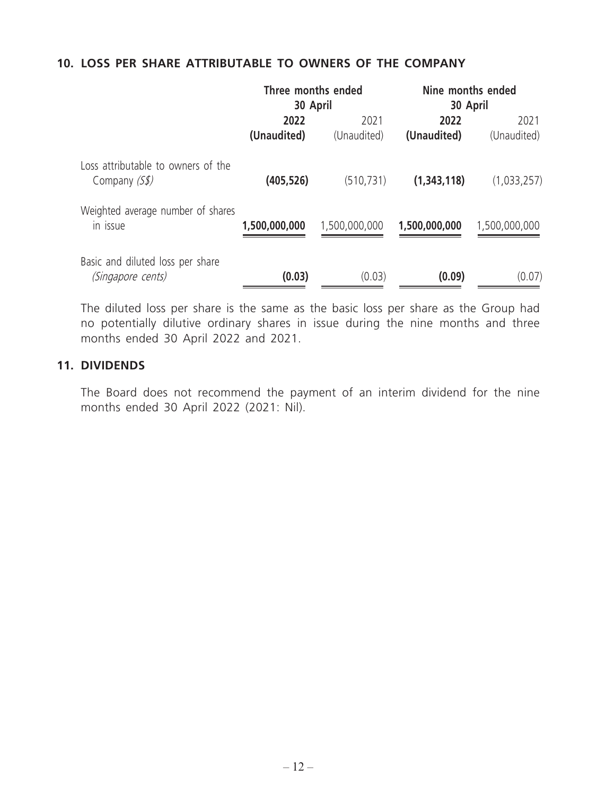## **10. LOSS PER SHARE ATTRIBUTABLE TO OWNERS OF THE COMPANY**

|                                                       | Three months ended<br>30 April |                     | Nine months ended<br>30 April |                     |
|-------------------------------------------------------|--------------------------------|---------------------|-------------------------------|---------------------|
|                                                       | 2022<br>(Unaudited)            | 2021<br>(Unaudited) | 2022<br>(Unaudited)           | 2021<br>(Unaudited) |
| Loss attributable to owners of the<br>Company $(Ss)$  | (405,526)                      | (510, 731)          | (1,343,118)                   | (1,033,257)         |
| Weighted average number of shares<br>in issue         | 1,500,000,000                  | 1,500,000,000       | 1,500,000,000                 | 1,500,000,000       |
| Basic and diluted loss per share<br>(Singapore cents) | (0.03)                         | (0.03)              | (0.09)                        | (0.07)              |

The diluted loss per share is the same as the basic loss per share as the Group had no potentially dilutive ordinary shares in issue during the nine months and three months ended 30 April 2022 and 2021.

#### **11. DIVIDENDS**

The Board does not recommend the payment of an interim dividend for the nine months ended 30 April 2022 (2021: Nil).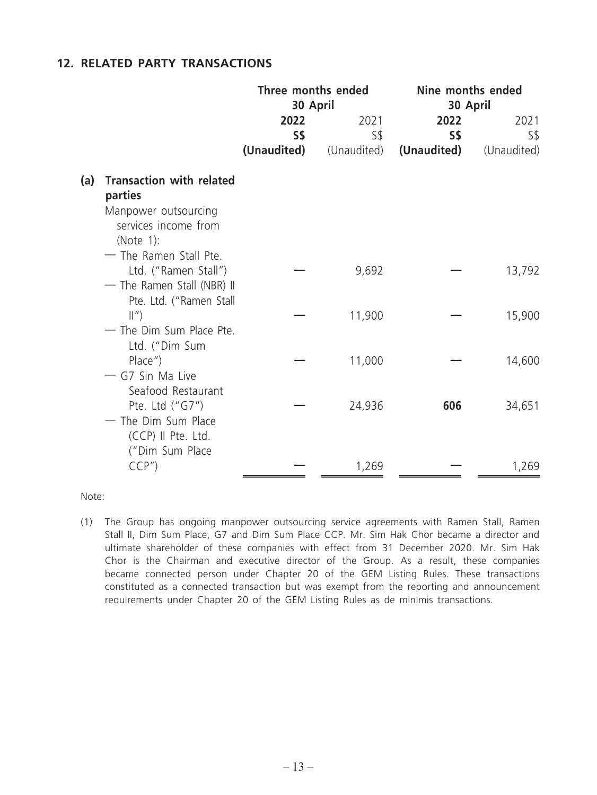### **12. RELATED PARTY TRANSACTIONS**

|     |                                                                                                         | Three months ended<br>30 April |             | Nine months ended<br>30 April |             |
|-----|---------------------------------------------------------------------------------------------------------|--------------------------------|-------------|-------------------------------|-------------|
|     |                                                                                                         | 2022                           | 2021        | 2022                          | 2021        |
|     |                                                                                                         | S\$                            | $S\$        | S\$                           | S\$         |
|     |                                                                                                         | (Unaudited)                    | (Unaudited) | (Unaudited)                   | (Unaudited) |
| (a) | <b>Transaction with related</b><br>parties<br>Manpower outsourcing<br>services income from<br>(Note 1): |                                |             |                               |             |
|     | - The Ramen Stall Pte.<br>Ltd. ("Ramen Stall")<br>- The Ramen Stall (NBR) II<br>Pte. Ltd. ("Ramen Stall |                                | 9,692       |                               | 13,792      |
|     | $\parallel$ ")<br>- The Dim Sum Place Pte.                                                              |                                | 11,900      |                               | 15,900      |
|     | Ltd. ("Dim Sum<br>$Place'$ )<br>- G7 Sin Ma Live<br>Seafood Restaurant                                  |                                | 11,000      |                               | 14,600      |
|     | Pte. Ltd ("G7")<br>- The Dim Sum Place<br>(CCP) II Pte. Ltd.<br>("Dim Sum Place                         |                                | 24,936      | 606                           | 34,651      |
|     | CCP''                                                                                                   |                                | 1,269       |                               | 1,269       |

Note:

(1) The Group has ongoing manpower outsourcing service agreements with Ramen Stall, Ramen Stall II, Dim Sum Place, G7 and Dim Sum Place CCP. Mr. Sim Hak Chor became a director and ultimate shareholder of these companies with effect from 31 December 2020. Mr. Sim Hak Chor is the Chairman and executive director of the Group. As a result, these companies became connected person under Chapter 20 of the GEM Listing Rules. These transactions constituted as a connected transaction but was exempt from the reporting and announcement requirements under Chapter 20 of the GEM Listing Rules as de minimis transactions.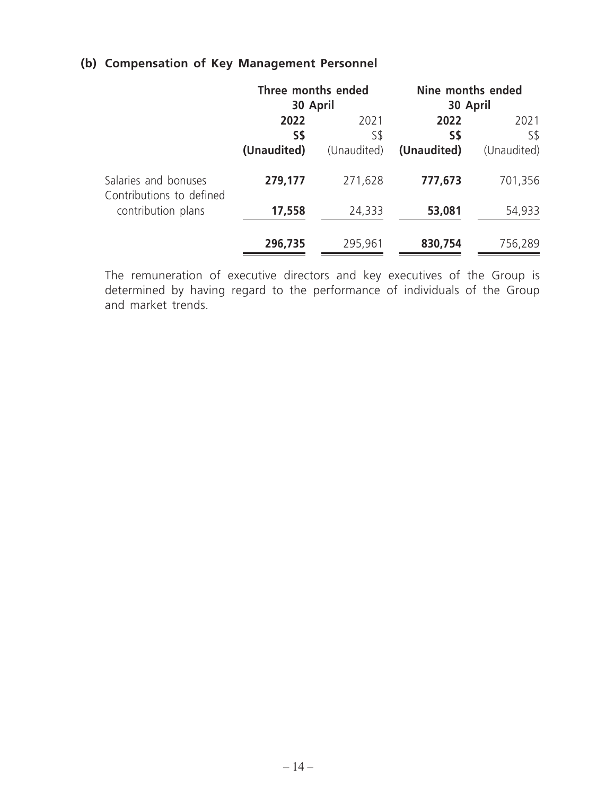## **(b) Compensation of Key Management Personnel**

|                                                  | Three months ended<br>30 April |             | Nine months ended<br>30 April |             |
|--------------------------------------------------|--------------------------------|-------------|-------------------------------|-------------|
|                                                  | 2022<br>2021<br>S\$<br>S\$     |             | 2022<br>S\$                   | 2021<br>S\$ |
|                                                  | (Unaudited)                    | (Unaudited) | (Unaudited)                   | (Unaudited) |
| Salaries and bonuses<br>Contributions to defined | 279,177                        | 271,628     | 777,673                       | 701,356     |
| contribution plans                               | 17,558                         | 24,333      | 53,081                        | 54,933      |
|                                                  | 296,735                        | 295,961     | 830,754                       | 756,289     |

The remuneration of executive directors and key executives of the Group is determined by having regard to the performance of individuals of the Group and market trends.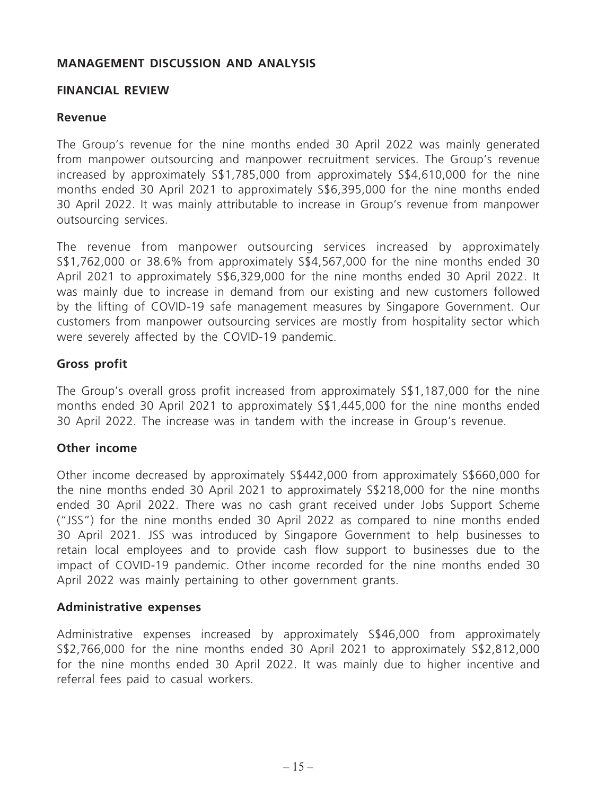## **MANAGEMENT DISCUSSION AND ANALYSIS**

### **FINANCIAL REVIEW**

### **Revenue**

The Group's revenue for the nine months ended 30 April 2022 was mainly generated from manpower outsourcing and manpower recruitment services. The Group's revenue increased by approximately S\$1,785,000 from approximately S\$4,610,000 for the nine months ended 30 April 2021 to approximately S\$6,395,000 for the nine months ended 30 April 2022. It was mainly attributable to increase in Group's revenue from manpower outsourcing services.

The revenue from manpower outsourcing services increased by approximately S\$1,762,000 or 38.6% from approximately S\$4,567,000 for the nine months ended 30 April 2021 to approximately S\$6,329,000 for the nine months ended 30 April 2022. It was mainly due to increase in demand from our existing and new customers followed by the lifting of COVID-19 safe management measures by Singapore Government. Our customers from manpower outsourcing services are mostly from hospitality sector which were severely affected by the COVID-19 pandemic.

## **Gross profit**

The Group's overall gross profit increased from approximately S\$1,187,000 for the nine months ended 30 April 2021 to approximately S\$1,445,000 for the nine months ended 30 April 2022. The increase was in tandem with the increase in Group's revenue.

#### **Other income**

Other income decreased by approximately S\$442,000 from approximately S\$660,000 for the nine months ended 30 April 2021 to approximately S\$218,000 for the nine months ended 30 April 2022. There was no cash grant received under Jobs Support Scheme ("JSS") for the nine months ended 30 April 2022 as compared to nine months ended 30 April 2021. JSS was introduced by Singapore Government to help businesses to retain local employees and to provide cash flow support to businesses due to the impact of COVID-19 pandemic. Other income recorded for the nine months ended 30 April 2022 was mainly pertaining to other government grants.

#### **Administrative expenses**

Administrative expenses increased by approximately S\$46,000 from approximately S\$2,766,000 for the nine months ended 30 April 2021 to approximately S\$2,812,000 for the nine months ended 30 April 2022. It was mainly due to higher incentive and referral fees paid to casual workers.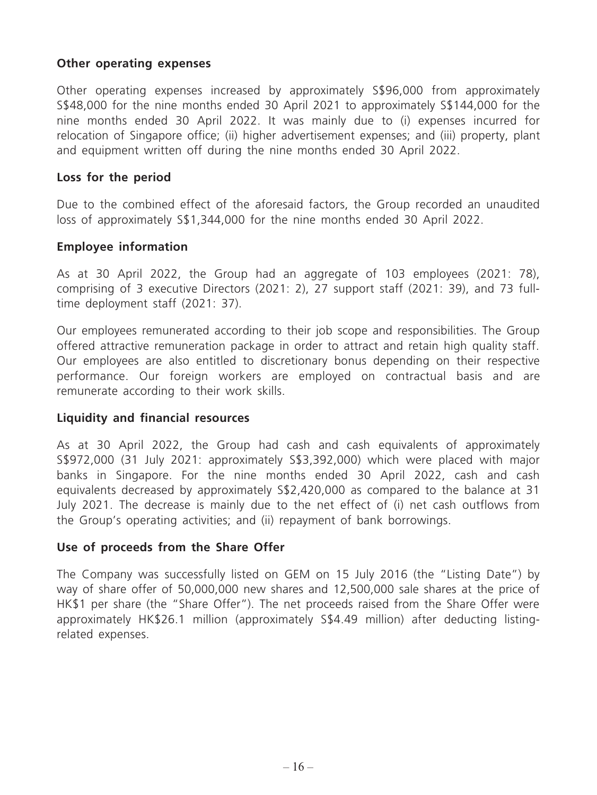## **Other operating expenses**

Other operating expenses increased by approximately S\$96,000 from approximately S\$48,000 for the nine months ended 30 April 2021 to approximately S\$144,000 for the nine months ended 30 April 2022. It was mainly due to (i) expenses incurred for relocation of Singapore office; (ii) higher advertisement expenses; and (iii) property, plant and equipment written off during the nine months ended 30 April 2022.

### **Loss for the period**

Due to the combined effect of the aforesaid factors, the Group recorded an unaudited loss of approximately S\$1,344,000 for the nine months ended 30 April 2022.

## **Employee information**

As at 30 April 2022, the Group had an aggregate of 103 employees (2021: 78), comprising of 3 executive Directors (2021: 2), 27 support staff (2021: 39), and 73 fulltime deployment staff (2021: 37).

Our employees remunerated according to their job scope and responsibilities. The Group offered attractive remuneration package in order to attract and retain high quality staff. Our employees are also entitled to discretionary bonus depending on their respective performance. Our foreign workers are employed on contractual basis and are remunerate according to their work skills.

#### **Liquidity and financial resources**

As at 30 April 2022, the Group had cash and cash equivalents of approximately S\$972,000 (31 July 2021: approximately S\$3,392,000) which were placed with major banks in Singapore. For the nine months ended 30 April 2022, cash and cash equivalents decreased by approximately S\$2,420,000 as compared to the balance at 31 July 2021. The decrease is mainly due to the net effect of (i) net cash outflows from the Group's operating activities; and (ii) repayment of bank borrowings.

#### **Use of proceeds from the Share Offer**

The Company was successfully listed on GEM on 15 July 2016 (the "Listing Date") by way of share offer of 50,000,000 new shares and 12,500,000 sale shares at the price of HK\$1 per share (the "Share Offer"). The net proceeds raised from the Share Offer were approximately HK\$26.1 million (approximately S\$4.49 million) after deducting listingrelated expenses.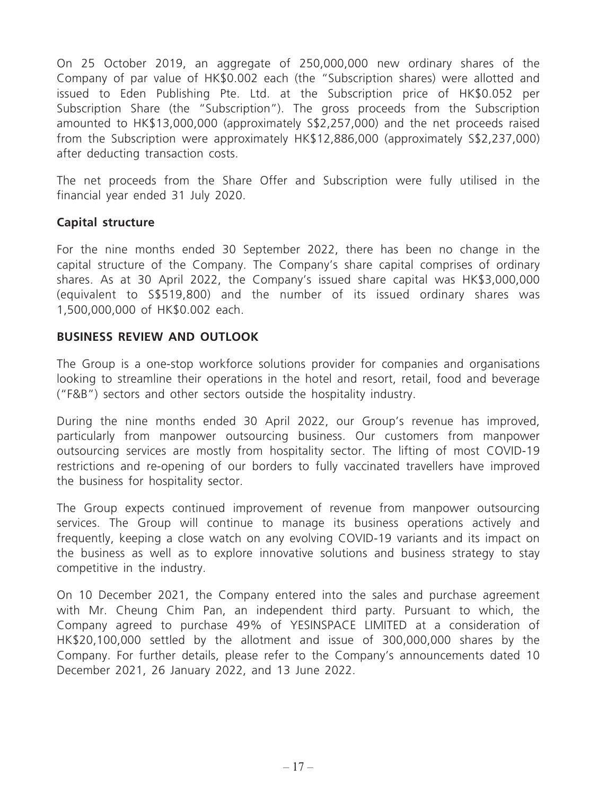On 25 October 2019, an aggregate of 250,000,000 new ordinary shares of the Company of par value of HK\$0.002 each (the "Subscription shares) were allotted and issued to Eden Publishing Pte. Ltd. at the Subscription price of HK\$0.052 per Subscription Share (the "Subscription"). The gross proceeds from the Subscription amounted to HK\$13,000,000 (approximately S\$2,257,000) and the net proceeds raised from the Subscription were approximately HK\$12,886,000 (approximately S\$2,237,000) after deducting transaction costs.

The net proceeds from the Share Offer and Subscription were fully utilised in the financial year ended 31 July 2020.

## **Capital structure**

For the nine months ended 30 September 2022, there has been no change in the capital structure of the Company. The Company's share capital comprises of ordinary shares. As at 30 April 2022, the Company's issued share capital was HK\$3,000,000 (equivalent to S\$519,800) and the number of its issued ordinary shares was 1,500,000,000 of HK\$0.002 each.

#### **BUSINESS REVIEW AND OUTLOOK**

The Group is a one-stop workforce solutions provider for companies and organisations looking to streamline their operations in the hotel and resort, retail, food and beverage ("F&B") sectors and other sectors outside the hospitality industry.

During the nine months ended 30 April 2022, our Group's revenue has improved, particularly from manpower outsourcing business. Our customers from manpower outsourcing services are mostly from hospitality sector. The lifting of most COVID-19 restrictions and re-opening of our borders to fully vaccinated travellers have improved the business for hospitality sector.

The Group expects continued improvement of revenue from manpower outsourcing services. The Group will continue to manage its business operations actively and frequently, keeping a close watch on any evolving COVID-19 variants and its impact on the business as well as to explore innovative solutions and business strategy to stay competitive in the industry.

On 10 December 2021, the Company entered into the sales and purchase agreement with Mr. Cheung Chim Pan, an independent third party. Pursuant to which, the Company agreed to purchase 49% of YESINSPACE LIMITED at a consideration of HK\$20,100,000 settled by the allotment and issue of 300,000,000 shares by the Company. For further details, please refer to the Company's announcements dated 10 December 2021, 26 January 2022, and 13 June 2022.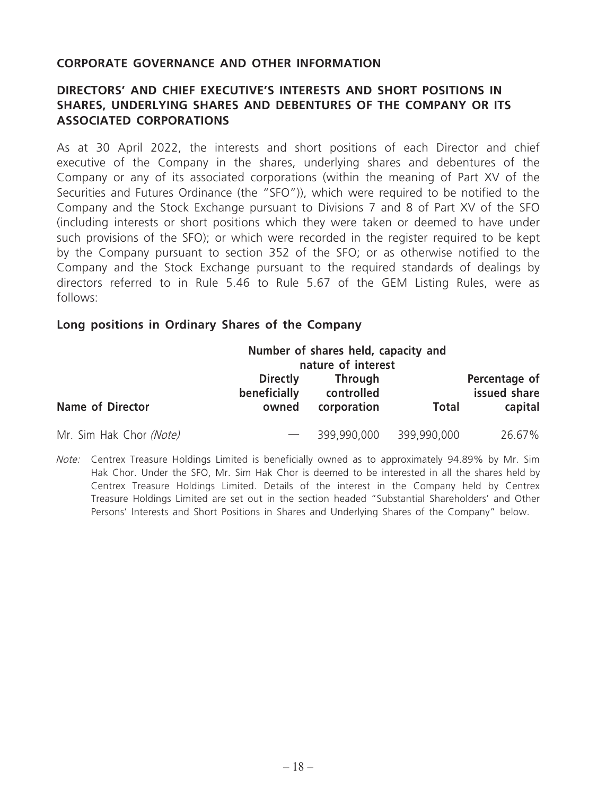### **CORPORATE GOVERNANCE AND OTHER INFORMATION**

## **DIRECTORS' AND CHIEF EXECUTIVE'S INTERESTS AND SHORT POSITIONS IN SHARES, UNDERLYING SHARES AND DEBENTURES OF THE COMPANY OR ITS ASSOCIATED CORPORATIONS**

As at 30 April 2022, the interests and short positions of each Director and chief executive of the Company in the shares, underlying shares and debentures of the Company or any of its associated corporations (within the meaning of Part XV of the Securities and Futures Ordinance (the "SFO")), which were required to be notified to the Company and the Stock Exchange pursuant to Divisions 7 and 8 of Part XV of the SFO (including interests or short positions which they were taken or deemed to have under such provisions of the SFO); or which were recorded in the register required to be kept by the Company pursuant to section 352 of the SFO; or as otherwise notified to the Company and the Stock Exchange pursuant to the required standards of dealings by directors referred to in Rule 5.46 to Rule 5.67 of the GEM Listing Rules, were as follows:

#### **Long positions in Ordinary Shares of the Company**

|                         | Number of shares held, capacity and<br>nature of interest |                                             |              |                                          |
|-------------------------|-----------------------------------------------------------|---------------------------------------------|--------------|------------------------------------------|
| <b>Name of Director</b> | <b>Directly</b><br>beneficially<br>owned                  | <b>Through</b><br>controlled<br>corporation | <b>Total</b> | Percentage of<br>issued share<br>capital |
| Mr. Sim Hak Chor (Note) |                                                           | 399,990,000                                 | 399,990,000  | 26.67%                                   |

Note: Centrex Treasure Holdings Limited is beneficially owned as to approximately 94.89% by Mr. Sim Hak Chor. Under the SFO, Mr. Sim Hak Chor is deemed to be interested in all the shares held by Centrex Treasure Holdings Limited. Details of the interest in the Company held by Centrex Treasure Holdings Limited are set out in the section headed "Substantial Shareholders' and Other Persons' Interests and Short Positions in Shares and Underlying Shares of the Company" below.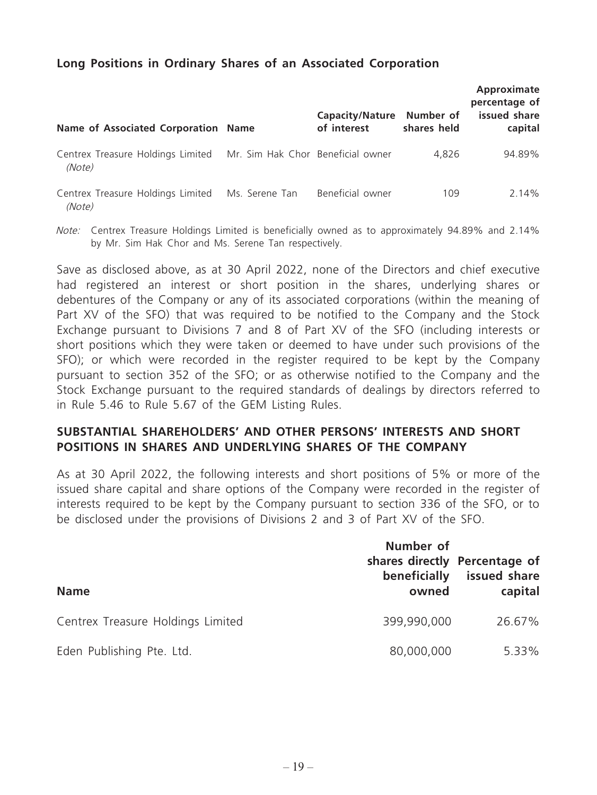## **Long Positions in Ordinary Shares of an Associated Corporation**

| Name of Associated Corporation Name                                           |                | <b>Capacity/Nature</b><br>of interest | Number of<br>shares held | Approximate<br>percentage of<br>issued share<br>capital |
|-------------------------------------------------------------------------------|----------------|---------------------------------------|--------------------------|---------------------------------------------------------|
| Centrex Treasure Holdings Limited Mr. Sim Hak Chor Beneficial owner<br>(Note) |                |                                       | 4.826                    | 94.89%                                                  |
| Centrex Treasure Holdings Limited<br>(Note)                                   | Ms. Serene Tan | Beneficial owner                      | 109                      | 2.14%                                                   |

Note: Centrex Treasure Holdings Limited is beneficially owned as to approximately 94.89% and 2.14% by Mr. Sim Hak Chor and Ms. Serene Tan respectively.

Save as disclosed above, as at 30 April 2022, none of the Directors and chief executive had registered an interest or short position in the shares, underlying shares or debentures of the Company or any of its associated corporations (within the meaning of Part XV of the SFO) that was required to be notified to the Company and the Stock Exchange pursuant to Divisions 7 and 8 of Part XV of the SFO (including interests or short positions which they were taken or deemed to have under such provisions of the SFO); or which were recorded in the register required to be kept by the Company pursuant to section 352 of the SFO; or as otherwise notified to the Company and the Stock Exchange pursuant to the required standards of dealings by directors referred to in Rule 5.46 to Rule 5.67 of the GEM Listing Rules.

## **SUBSTANTIAL SHAREHOLDERS' AND OTHER PERSONS' INTERESTS AND SHORT POSITIONS IN SHARES AND UNDERLYING SHARES OF THE COMPANY**

As at 30 April 2022, the following interests and short positions of 5% or more of the issued share capital and share options of the Company were recorded in the register of interests required to be kept by the Company pursuant to section 336 of the SFO, or to be disclosed under the provisions of Divisions 2 and 3 of Part XV of the SFO.

| <b>Name</b>                       | Number of<br>beneficially<br>owned | shares directly Percentage of<br>issued share<br>capital |
|-----------------------------------|------------------------------------|----------------------------------------------------------|
| Centrex Treasure Holdings Limited | 399,990,000                        | 26.67%                                                   |
| Eden Publishing Pte. Ltd.         | 80,000,000                         | 5.33%                                                    |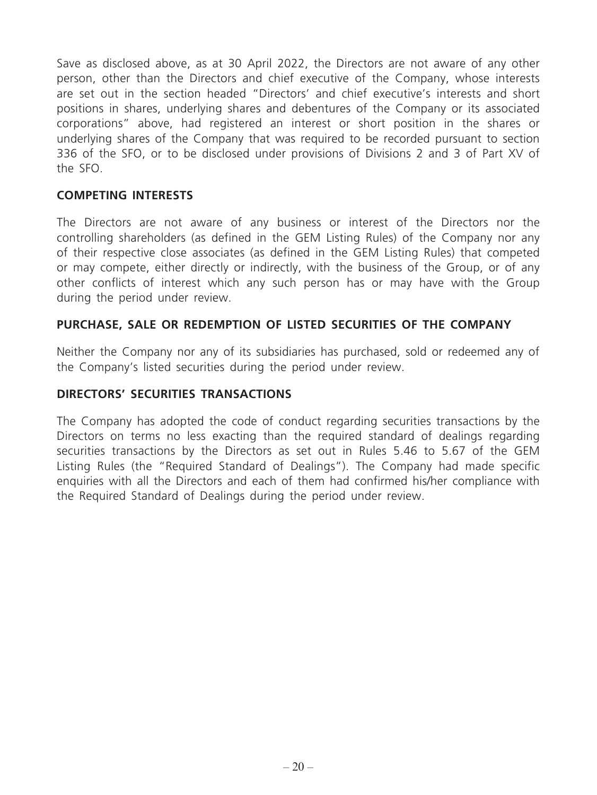Save as disclosed above, as at 30 April 2022, the Directors are not aware of any other person, other than the Directors and chief executive of the Company, whose interests are set out in the section headed "Directors' and chief executive's interests and short positions in shares, underlying shares and debentures of the Company or its associated corporations" above, had registered an interest or short position in the shares or underlying shares of the Company that was required to be recorded pursuant to section 336 of the SFO, or to be disclosed under provisions of Divisions 2 and 3 of Part XV of the SFO.

### **COMPETING INTERESTS**

The Directors are not aware of any business or interest of the Directors nor the controlling shareholders (as defined in the GEM Listing Rules) of the Company nor any of their respective close associates (as defined in the GEM Listing Rules) that competed or may compete, either directly or indirectly, with the business of the Group, or of any other conflicts of interest which any such person has or may have with the Group during the period under review.

## **PURCHASE, SALE OR REDEMPTION OF LISTED SECURITIES OF THE COMPANY**

Neither the Company nor any of its subsidiaries has purchased, sold or redeemed any of the Company's listed securities during the period under review.

## **DIRECTORS' SECURITIES TRANSACTIONS**

The Company has adopted the code of conduct regarding securities transactions by the Directors on terms no less exacting than the required standard of dealings regarding securities transactions by the Directors as set out in Rules 5.46 to 5.67 of the GEM Listing Rules (the "Required Standard of Dealings"). The Company had made specific enquiries with all the Directors and each of them had confirmed his/her compliance with the Required Standard of Dealings during the period under review.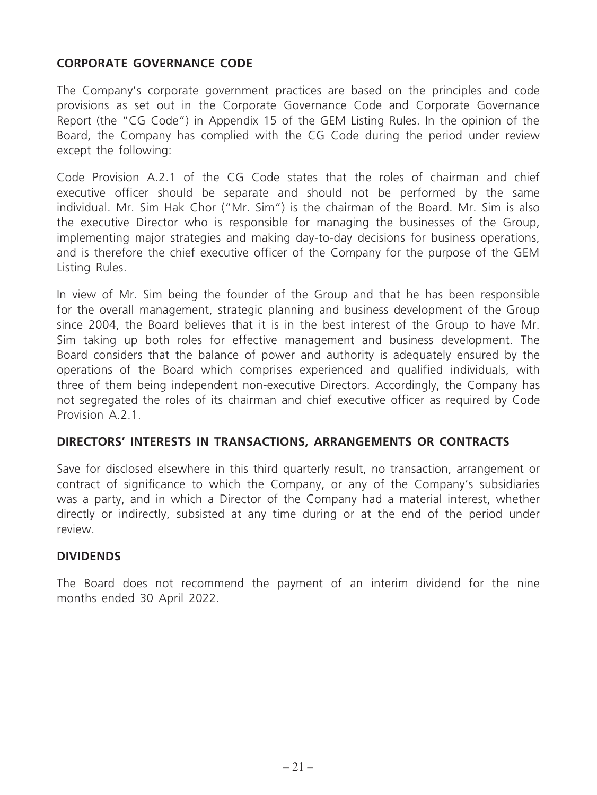## **CORPORATE GOVERNANCE CODE**

The Company's corporate government practices are based on the principles and code provisions as set out in the Corporate Governance Code and Corporate Governance Report (the "CG Code") in Appendix 15 of the GEM Listing Rules. In the opinion of the Board, the Company has complied with the CG Code during the period under review except the following:

Code Provision A.2.1 of the CG Code states that the roles of chairman and chief executive officer should be separate and should not be performed by the same individual. Mr. Sim Hak Chor ("Mr. Sim") is the chairman of the Board. Mr. Sim is also the executive Director who is responsible for managing the businesses of the Group, implementing major strategies and making day-to-day decisions for business operations, and is therefore the chief executive officer of the Company for the purpose of the GEM Listing Rules.

In view of Mr. Sim being the founder of the Group and that he has been responsible for the overall management, strategic planning and business development of the Group since 2004, the Board believes that it is in the best interest of the Group to have Mr. Sim taking up both roles for effective management and business development. The Board considers that the balance of power and authority is adequately ensured by the operations of the Board which comprises experienced and qualified individuals, with three of them being independent non-executive Directors. Accordingly, the Company has not segregated the roles of its chairman and chief executive officer as required by Code Provision A.2.1

#### **DIRECTORS' INTERESTS IN TRANSACTIONS, ARRANGEMENTS OR CONTRACTS**

Save for disclosed elsewhere in this third quarterly result, no transaction, arrangement or contract of significance to which the Company, or any of the Company's subsidiaries was a party, and in which a Director of the Company had a material interest, whether directly or indirectly, subsisted at any time during or at the end of the period under review.

## **DIVIDENDS**

The Board does not recommend the payment of an interim dividend for the nine months ended 30 April 2022.